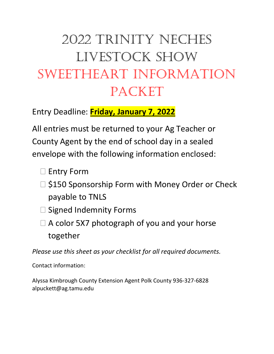# 2022 Trinity Neches LIVESTOCK SHOW SWEETHEART INFORMATION Packet

Entry Deadline: **Friday, January 7, 2022**

All entries must be returned to your Ag Teacher or County Agent by the end of school day in a sealed envelope with the following information enclosed:

- □ Entry Form
- $\Box$  \$150 Sponsorship Form with Money Order or Check payable to TNLS
- $\square$  Signed Indemnity Forms
- $\Box$  A color 5X7 photograph of you and your horse together

*Please use this sheet as your checklist for all required documents.*

Contact information:

Alyssa Kimbrough County Extension Agent Polk County 936-327-6828 alpuckett@ag.tamu.edu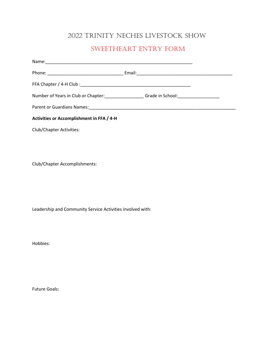### 2022 Trinity Neches Livestock Show

### Sweetheart Entry Form

| Number of Years in Club or Chapter: Cambridge Crade in School: Chapter of Years in Club or Chapter: |  |
|-----------------------------------------------------------------------------------------------------|--|
|                                                                                                     |  |
| Activities or Accomplishment in FFA / 4-H                                                           |  |
| <b>Club/Chapter Activities:</b>                                                                     |  |
|                                                                                                     |  |

Club/Chapter Accomplishments:

Leadership and Community Service Activities involved with:

Hobbies:

Future Goals: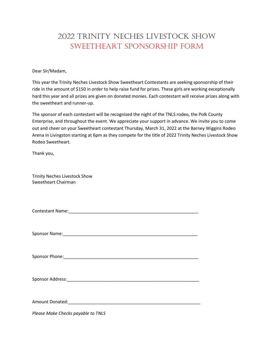## 2022 Trinity Neches Livestock Show Sweetheart Sponsorship Form

Dear Sir/Madam,

This year the Trinity Neches Livestock Show Sweetheart Contestants are seeking sponsorship of their ride in the amount of \$150 in order to help raise fund for prizes. These girls are working exceptionally hard this year and all prizes are given on donated monies. Each contestant will receive prizes along with the sweetheart and runner-up.

The sponsor of each contestant will be recognized the night of the TNLS rodeo, the Polk County Enterprise, and throughout the event. We appreciate your support in advance. We invite you to come out and cheer on your Sweetheart contestant Thursday, March 31, 2022 at the Barney Wiggins Rodeo Arena in Livingston starting at 6pm as they compete for the title of 2022 Trinity Neches Livestock Show Rodeo Sweetheart.

Thank you,

Trinity Neches Livestock Show Sweetheart Chairman

Sponsor Name:\_\_\_\_\_\_\_\_\_\_\_\_\_\_\_\_\_\_\_\_\_\_\_\_\_\_\_\_\_\_\_\_\_\_\_\_\_\_\_\_\_\_\_\_\_\_\_\_\_\_\_\_\_\_\_

Sponsor Phone:\_\_\_\_\_\_\_\_\_\_\_\_\_\_\_\_\_\_\_\_\_\_\_\_\_\_\_\_\_\_\_\_\_\_\_\_\_\_\_\_\_\_\_\_\_\_\_\_\_\_\_\_\_\_\_

Sponsor Address: etc. and the set of the set of the set of the set of the set of the set of the set of the set of the set of the set of the set of the set of the set of the set of the set of the set of the set of the set o

Amount Donated:\_\_\_\_\_\_\_\_\_\_\_\_\_\_\_\_\_\_\_\_\_\_\_\_\_\_\_\_\_\_\_\_\_\_\_\_\_\_\_\_\_\_\_\_\_\_\_\_\_\_\_\_\_\_

*Please Make Checks payable to TNLS*